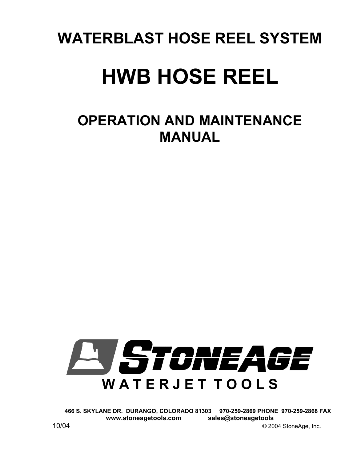# **WATERBLAST HOSE REEL SYSTEM**

# **HWB HOSE REEL**

# **OPERATION AND MAINTENANCE MANUAL**



**466 S. SKYLANE DR. DURANGO, COLORADO 81303 970-259-2869 PHONE 970-259-2868 FAX www.stoneagetools.com sales@stoneagetools** 

10/04 © 2004 StoneAge, Inc.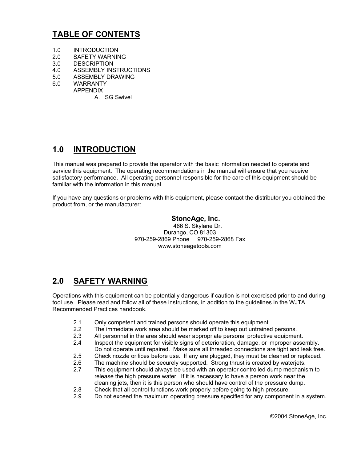# **TABLE OF CONTENTS**

- 1.0 INTRODUCTION
- 2.0 SAFETY WARNING
- 3.0 DESCRIPTION
- 4.0 ASSEMBLY INSTRUCTIONS
- 5.0 ASSEMBLY DRAWING
- 6.0 WARRANTY APPENDIX
	- A. SG Swivel

### **1.0 INTRODUCTION**

This manual was prepared to provide the operator with the basic information needed to operate and service this equipment. The operating recommendations in the manual will ensure that you receive satisfactory performance. All operating personnel responsible for the care of this equipment should be familiar with the information in this manual.

If you have any questions or problems with this equipment, please contact the distributor you obtained the product from, or the manufacturer:

#### **StoneAge, Inc.**

466 S. Skylane Dr. Durango, CO 81303 970-259-2869 Phone 970-259-2868 Fax www.stoneagetools.com

## **2.0 SAFETY WARNING**

Operations with this equipment can be potentially dangerous if caution is not exercised prior to and during tool use. Please read and follow all of these instructions, in addition to the guidelines in the WJTA Recommended Practices handbook.

- 2.1 Only competent and trained persons should operate this equipment.<br>2.2 The immediate work area should be marked off to keep out untrained
- The immediate work area should be marked off to keep out untrained persons.
- 2.3 All personnel in the area should wear appropriate personal protective equipment.
- 2.4 Inspect the equipment for visible signs of deterioration, damage, or improper assembly. Do not operate until repaired. Make sure all threaded connections are tight and leak free.
- 
- 2.5 Check nozzle orifices before use. If any are plugged, they must be cleaned or replaced.<br>2.6 The machine should be securely supported. Strong thrust is created by wateriets.
- 2.6 The machine should be securely supported. Strong thrust is created by waterjets.<br>2.7 This equipment should always be used with an operator controlled dump mechanis 2.7 This equipment should always be used with an operator controlled dump mechanism to release the high pressure water. If it is necessary to have a person work near the cleaning jets, then it is this person who should have control of the pressure dump.
- 2.8 Check that all control functions work properly before going to high pressure.
- 2.9 Do not exceed the maximum operating pressure specified for any component in a system.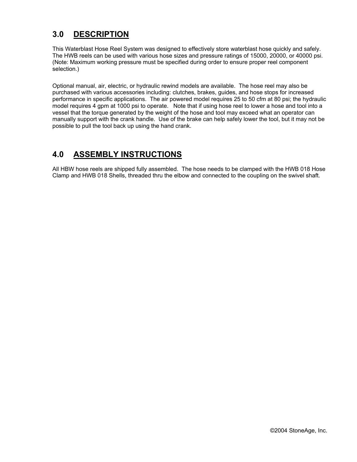## **3.0 DESCRIPTION**

This Waterblast Hose Reel System was designed to effectively store waterblast hose quickly and safely. The HWB reels can be used with various hose sizes and pressure ratings of 15000, 20000, or 40000 psi. (Note: Maximum working pressure must be specified during order to ensure proper reel component selection.)

Optional manual, air, electric, or hydraulic rewind models are available. The hose reel may also be purchased with various accessories including: clutches, brakes, guides, and hose stops for increased performance in specific applications. The air powered model requires 25 to 50 cfm at 80 psi; the hydraulic model requires 4 gpm at 1000 psi to operate. Note that if using hose reel to lower a hose and tool into a vessel that the torque generated by the weight of the hose and tool may exceed what an operator can manually support with the crank handle. Use of the brake can help safely lower the tool, but it may not be possible to pull the tool back up using the hand crank.

# **4.0 ASSEMBLY INSTRUCTIONS**

All HBW hose reels are shipped fully assembled. The hose needs to be clamped with the HWB 018 Hose Clamp and HWB 018 Shells, threaded thru the elbow and connected to the coupling on the swivel shaft.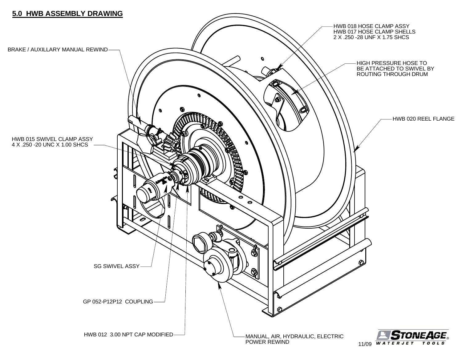